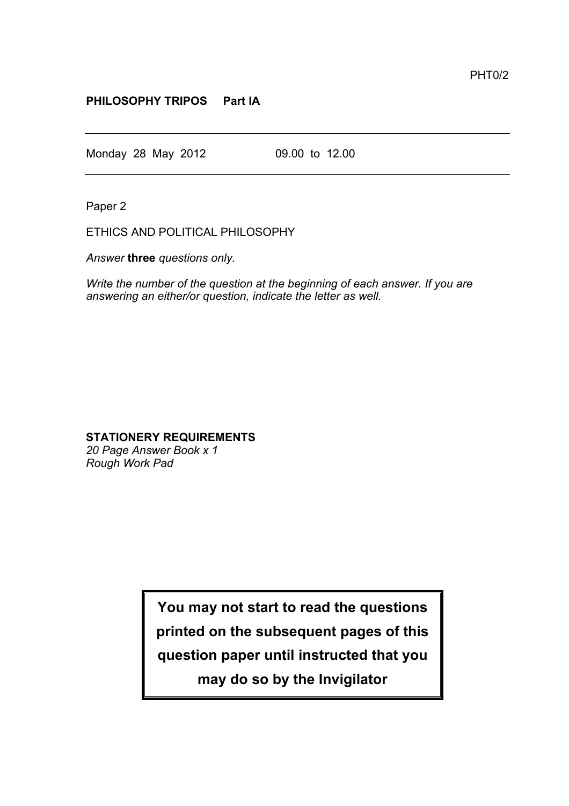## **PHILOSOPHY TRIPOS Part IA**

Monday 28 May 2012 09.00 to 12.00

Paper 2

ETHICS AND POLITICAL PHILOSOPHY

*Answer* **three** *questions only.*

*Write the number of the question at the beginning of each answer. If you are answering an either/or question, indicate the letter as well.*

## **STATIONERY REQUIREMENTS**

*20 Page Answer Book x 1 Rough Work Pad*

**You may not start to read the questions**

**printed on the subsequent pages of this**

**question paper until instructed that you**

**may do so by the Invigilator**